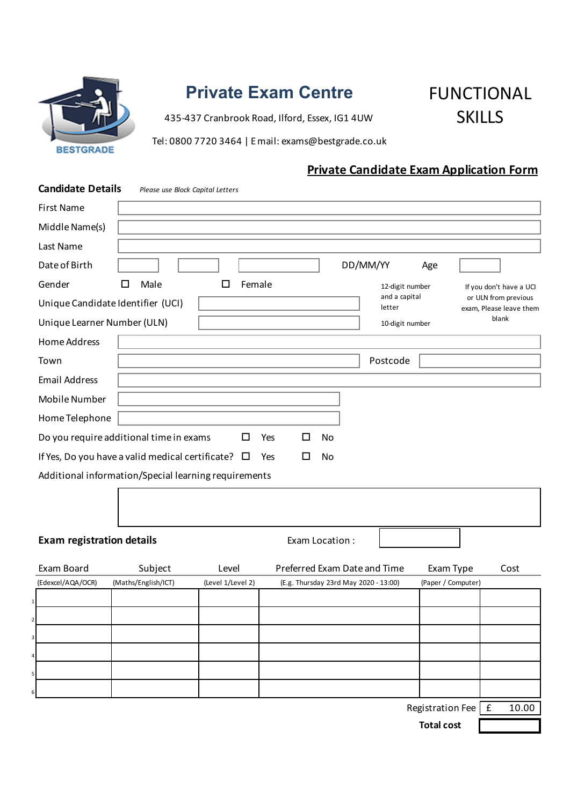

# **Private Exam Centre**

435-437 Cranbrook Road, Ilford, Essex, IG1 4UW

FUNCTIONAL **SKILLS** 

Tel: 0800 7720 3464 | E mail: exams@bestgrade.co.uk

# **Private Candidate Exam Application Form**

| <b>Candidate Details</b>          | Please use Block Capital Letters                           |                           |                              |                                       |                         |                      |                         |                      |                         |
|-----------------------------------|------------------------------------------------------------|---------------------------|------------------------------|---------------------------------------|-------------------------|----------------------|-------------------------|----------------------|-------------------------|
| <b>First Name</b>                 |                                                            |                           |                              |                                       |                         |                      |                         |                      |                         |
| Middle Name(s)                    |                                                            |                           |                              |                                       |                         |                      |                         |                      |                         |
| Last Name                         |                                                            |                           |                              |                                       |                         |                      |                         |                      |                         |
| Date of Birth                     |                                                            |                           |                              |                                       | DD/MM/YY                | Age                  |                         |                      |                         |
| Gender                            | Male<br>L                                                  | Female<br>12-digit number |                              |                                       |                         |                      | If you don't have a UCI |                      |                         |
| Unique Candidate Identifier (UCI) |                                                            |                           |                              |                                       | and a capital<br>letter |                      |                         | or ULN from previous | exam, Please leave them |
| Unique Learner Number (ULN)       |                                                            |                           |                              |                                       | 10-digit number         |                      |                         | blank                |                         |
| Home Address                      |                                                            |                           |                              |                                       |                         |                      |                         |                      |                         |
| Town                              |                                                            |                           |                              |                                       | Postcode                |                      |                         |                      |                         |
| <b>Email Address</b>              |                                                            |                           |                              |                                       |                         |                      |                         |                      |                         |
| Mobile Number                     |                                                            |                           |                              |                                       |                         |                      |                         |                      |                         |
| Home Telephone                    |                                                            |                           |                              |                                       |                         |                      |                         |                      |                         |
|                                   | Do you require additional time in exams                    | □                         | $\Box$<br>Yes                | No                                    |                         |                      |                         |                      |                         |
|                                   | If Yes, Do you have a valid medical certificate? $\square$ |                           | □<br>Yes                     | No                                    |                         |                      |                         |                      |                         |
|                                   | Additional information/Special learning requirements       |                           |                              |                                       |                         |                      |                         |                      |                         |
|                                   |                                                            |                           |                              |                                       |                         |                      |                         |                      |                         |
|                                   |                                                            |                           |                              |                                       |                         |                      |                         |                      |                         |
| <b>Exam registration details</b>  |                                                            |                           |                              | Exam Location:                        |                         |                      |                         |                      |                         |
|                                   |                                                            |                           |                              |                                       |                         |                      |                         |                      |                         |
| Exam Board                        | Subject                                                    | Level                     | Preferred Exam Date and Time |                                       |                         | Exam Type            |                         | Cost                 |                         |
| (Edexcel/AQA/OCR)                 | (Maths/English/ICT)                                        | (Level 1/Level 2)         |                              | (E.g. Thursday 23rd May 2020 - 13:00) |                         | (Paper / Computer)   |                         |                      |                         |
|                                   |                                                            |                           |                              |                                       |                         |                      |                         |                      |                         |
| 2                                 |                                                            |                           |                              |                                       |                         |                      |                         |                      |                         |
| 3                                 |                                                            |                           |                              |                                       |                         |                      |                         |                      |                         |
| $\overline{a}$                    |                                                            |                           |                              |                                       |                         |                      |                         |                      |                         |
| $\mathsf{5}$                      |                                                            |                           |                              |                                       |                         |                      |                         |                      |                         |
| $6 \mid$                          |                                                            |                           |                              |                                       |                         | Registration Fee   £ |                         |                      | 10.00                   |
| <b>Total cost</b>                 |                                                            |                           |                              |                                       |                         |                      |                         |                      |                         |